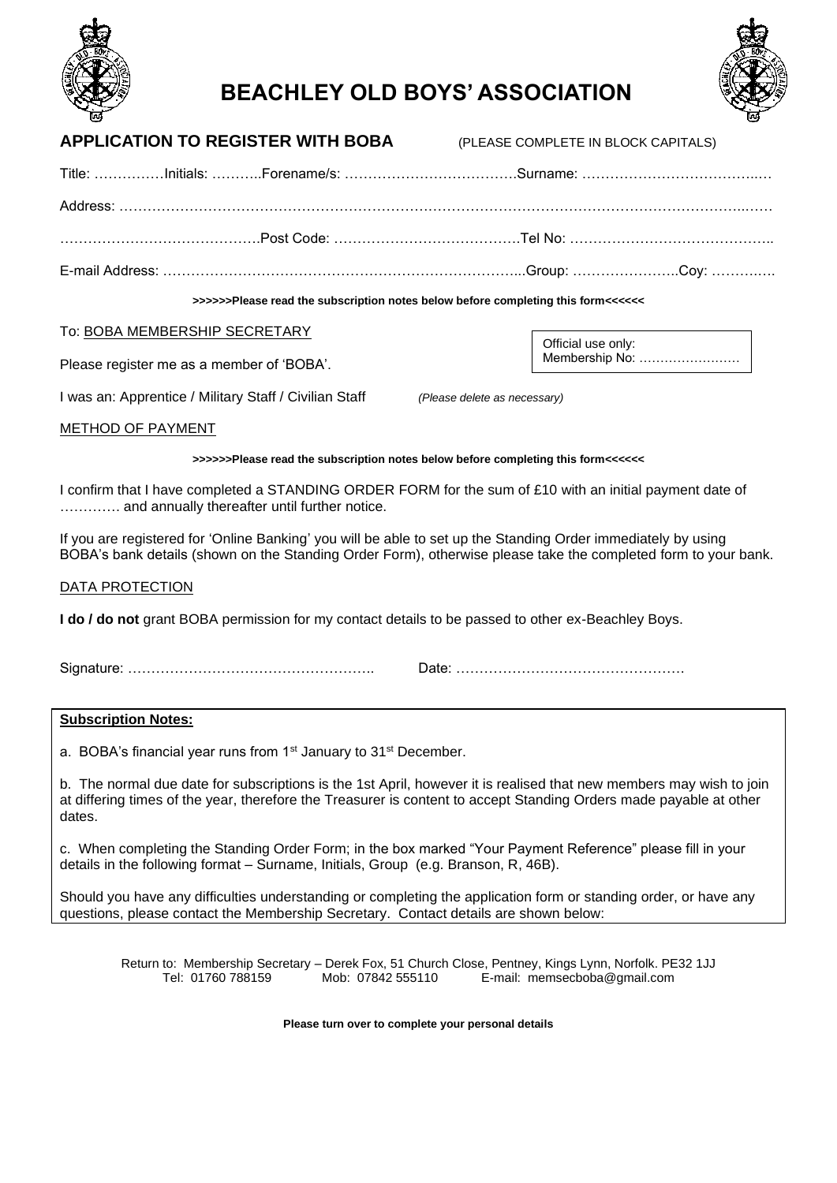



# **BEACHLEY OLD BOYS' ASSOCIATION**

| >>>>>Please read the subscription notes below before completing this form<<<<< <<< > |  |  |  |  |
|--------------------------------------------------------------------------------------|--|--|--|--|
|                                                                                      |  |  |  |  |
|                                                                                      |  |  |  |  |
|                                                                                      |  |  |  |  |
|                                                                                      |  |  |  |  |
| <b>APPLICATION TO REGISTER WITH BOBA (PLEASE COMPLETE IN BLOCK CAPITALS)</b>         |  |  |  |  |

## To: BOBA MEMBERSHIP SECRETARY

Please register me as a member of 'BOBA'.

I was an: Apprentice / Military Staff / Civilian Staff *(Please delete as necessary)*

Official use only:

Membership No: ……………………

#### METHOD OF PAYMENT

#### **>>>>>>Please read the subscription notes below before completing this form<<<<<<**

I confirm that I have completed a STANDING ORDER FORM for the sum of £10 with an initial payment date of …………. and annually thereafter until further notice.

If you are registered for 'Online Banking' you will be able to set up the Standing Order immediately by using BOBA's bank details (shown on the Standing Order Form), otherwise please take the completed form to your bank.

#### DATA PROTECTION

**I do / do not** grant BOBA permission for my contact details to be passed to other ex-Beachley Boys.

Signature: …………………………………………….. Date: ………………………………………….

## **Subscription Notes:**

a. BOBA's financial year runs from 1<sup>st</sup> January to 31<sup>st</sup> December.

b. The normal due date for subscriptions is the 1st April, however it is realised that new members may wish to join at differing times of the year, therefore the Treasurer is content to accept Standing Orders made payable at other dates.

c. When completing the Standing Order Form; in the box marked "Your Payment Reference" please fill in your details in the following format – Surname, Initials, Group (e.g. Branson, R, 46B).

Should you have any difficulties understanding or completing the application form or standing order, or have any questions, please contact the Membership Secretary. Contact details are shown below:

Return to: Membership Secretary – Derek Fox, 51 Church Close, Pentney, Kings Lynn, Norfolk. PE32 1JJ<br>Tel: 01760 788159 Mob: 07842 555110 E-mail: memsecboba@gmail.com E-mail: memsecboba@gmail.com

**Please turn over to complete your personal details**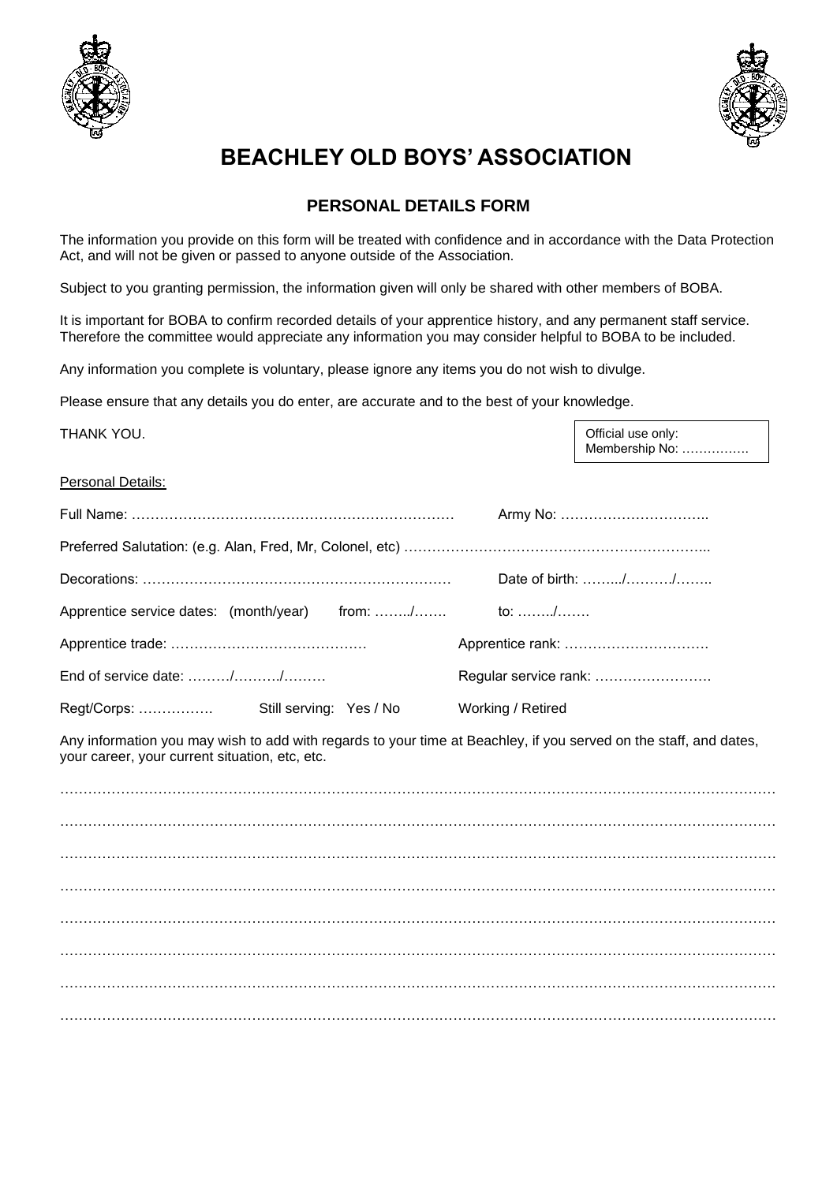



# **BEACHLEY OLD BOYS' ASSOCIATION**

# **PERSONAL DETAILS FORM**

The information you provide on this form will be treated with confidence and in accordance with the Data Protection Act, and will not be given or passed to anyone outside of the Association.

Subject to you granting permission, the information given will only be shared with other members of BOBA.

It is important for BOBA to confirm recorded details of your apprentice history, and any permanent staff service. Therefore the committee would appreciate any information you may consider helpful to BOBA to be included.

Any information you complete is voluntary, please ignore any items you do not wish to divulge.

Please ensure that any details you do enter, are accurate and to the best of your knowledge.

THANK YOU.

Official use only: Membership No: …………….

## **Personal Details:**

|                                                      |                         |  | Date of birth: //     |  |
|------------------------------------------------------|-------------------------|--|-----------------------|--|
| Apprentice service dates: (month/year) from: / to: / |                         |  |                       |  |
|                                                      |                         |  |                       |  |
| End of service date: //                              |                         |  | Regular service rank: |  |
| Regt/Corps:                                          | Still serving: Yes / No |  | Working / Retired     |  |

Any information you may wish to add with regards to your time at Beachley, if you served on the staff, and dates, your career, your current situation, etc, etc.

……………………………………………………………………………………………………………………………………… ……………………………………………………………………………………………………………………………………… ……………………………………………………………………………………………………………………………………… ………………………………………………………………………………………………………………………………………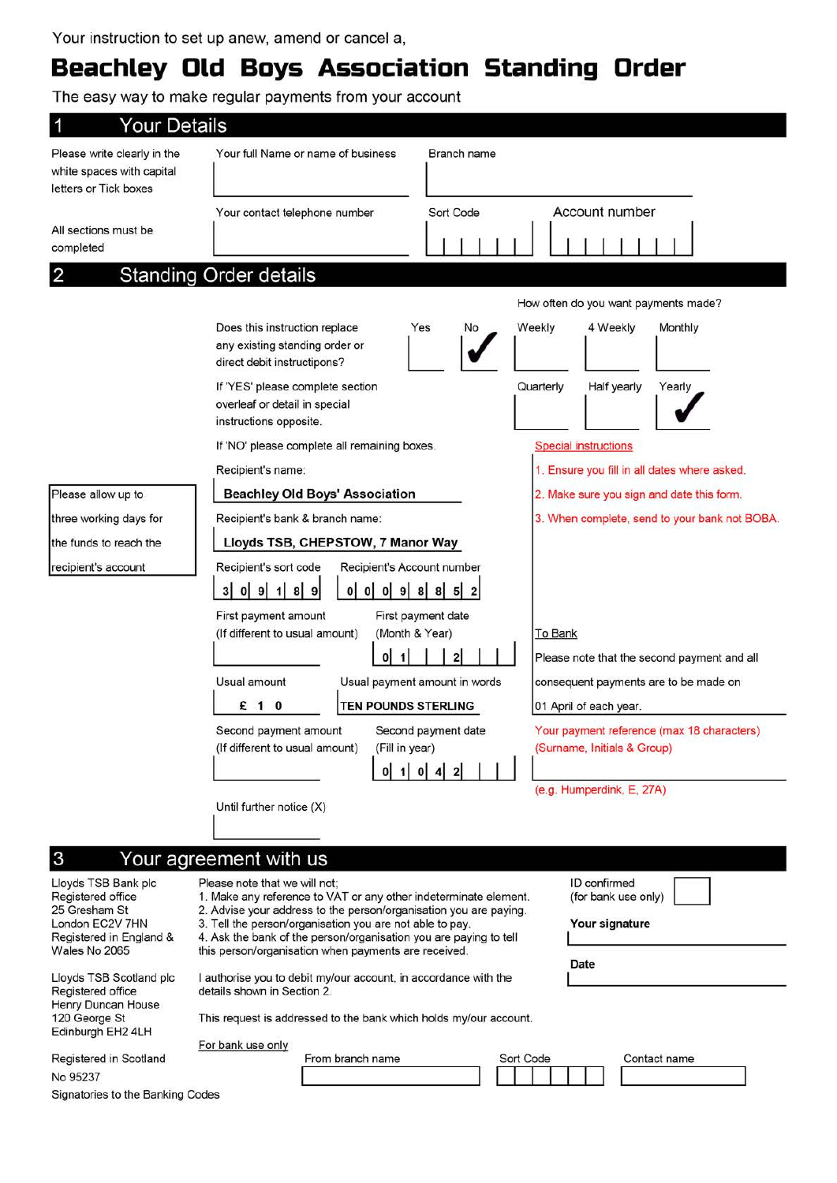# Beachley Old Boys Association Standing Order

The easy way to make regular payments from your account

| <b>Your Details</b>                                                               |                                                                                                                                                                               |  |  |  |
|-----------------------------------------------------------------------------------|-------------------------------------------------------------------------------------------------------------------------------------------------------------------------------|--|--|--|
| Please write clearly in the<br>white spaces with capital<br>letters or Tick boxes | Your full Name or name of business<br>Branch name                                                                                                                             |  |  |  |
|                                                                                   | Account number<br>Sort Code<br>Your contact telephone number                                                                                                                  |  |  |  |
| All sections must be<br>completed                                                 |                                                                                                                                                                               |  |  |  |
| 2                                                                                 | <b>Standing Order details</b>                                                                                                                                                 |  |  |  |
|                                                                                   | How often do you want payments made?                                                                                                                                          |  |  |  |
|                                                                                   | Does this instruction replace<br>Weekly<br>4 Weekly<br>Monthly<br>Yes<br>No<br>any existing standing order or<br>direct debit instructipons?                                  |  |  |  |
|                                                                                   | If 'YES' please complete section<br>Quarterly<br>Half yearly<br>Yearly<br>overleaf or detail in special<br>instructions opposite.                                             |  |  |  |
|                                                                                   | If 'NO' please complete all remaining boxes.<br><b>Special instructions</b>                                                                                                   |  |  |  |
|                                                                                   | 1. Ensure you fill in all dates where asked.<br>Recipient's name:                                                                                                             |  |  |  |
| Please allow up to                                                                | <b>Beachley Old Boys' Association</b><br>2. Make sure you sign and date this form.                                                                                            |  |  |  |
| three working days for                                                            | Recipient's bank & branch name:<br>3. When complete, send to your bank not BOBA.                                                                                              |  |  |  |
| the funds to reach the                                                            | Lloyds TSB, CHEPSTOW, 7 Manor Way                                                                                                                                             |  |  |  |
| recipient's account                                                               | Recipient's sort code<br>Recipient's Account number                                                                                                                           |  |  |  |
|                                                                                   | 0 0 98852<br>0   9   1   8   9<br>3 <sup>1</sup><br>$\mathbf{0}$                                                                                                              |  |  |  |
|                                                                                   | First payment amount<br>First payment date                                                                                                                                    |  |  |  |
|                                                                                   | (If different to usual amount)<br>(Month & Year)<br>To Bank                                                                                                                   |  |  |  |
|                                                                                   | $\overline{2}$<br>٥I<br>$\mathbf{1}$<br>Please note that the second payment and all                                                                                           |  |  |  |
|                                                                                   | Usual amount<br>Usual payment amount in words<br>consequent payments are to be made on                                                                                        |  |  |  |
|                                                                                   | $\mathbf 0$<br>TEN POUNDS STERLING<br>£<br>$\cdot$ 1<br>01 April of each year.                                                                                                |  |  |  |
|                                                                                   | Your payment reference (max 18 characters)<br>Second payment amount<br>Second payment date<br>(If different to usual amount)<br>(Fill in year)<br>(Surname, Initials & Group) |  |  |  |
|                                                                                   | 1 0 4 2                                                                                                                                                                       |  |  |  |
|                                                                                   | (e.g. Humperdink, E, 27A)                                                                                                                                                     |  |  |  |
|                                                                                   | Until further notice (X)                                                                                                                                                      |  |  |  |
|                                                                                   |                                                                                                                                                                               |  |  |  |
| 3                                                                                 | Your agreement with us                                                                                                                                                        |  |  |  |
| Lloyds TSB Bank plc<br>Registered office                                          | ID confirmed<br>Please note that we will not:<br>1. Make any reference to VAT or any other indeterminate element.<br>(for bank use only)                                      |  |  |  |
| 25 Gresham St<br>London EC2V 7HN                                                  | 2. Advise your address to the person/organisation you are paying.<br>3. Tell the person/organisation you are not able to pay.<br>Your signature                               |  |  |  |
| Registered in England &<br>Wales No 2065                                          | 4. Ask the bank of the person/organisation you are paying to tell<br>this person/organisation when payments are received.                                                     |  |  |  |
| Lloyds TSB Scotland plc<br>Registered office                                      | Date<br>I authorise you to debit my/our account, in accordance with the<br>details shown in Section 2.                                                                        |  |  |  |
| Henry Duncan House<br>120 George St<br>Edinburgh EH2 4LH                          | This request is addressed to the bank which holds my/our account.                                                                                                             |  |  |  |
| Registered in Scotland                                                            | For bank use only<br>From branch name<br>Sort Code<br>Contact name                                                                                                            |  |  |  |
| No 95237                                                                          |                                                                                                                                                                               |  |  |  |
| Signatories to the Banking Codes                                                  |                                                                                                                                                                               |  |  |  |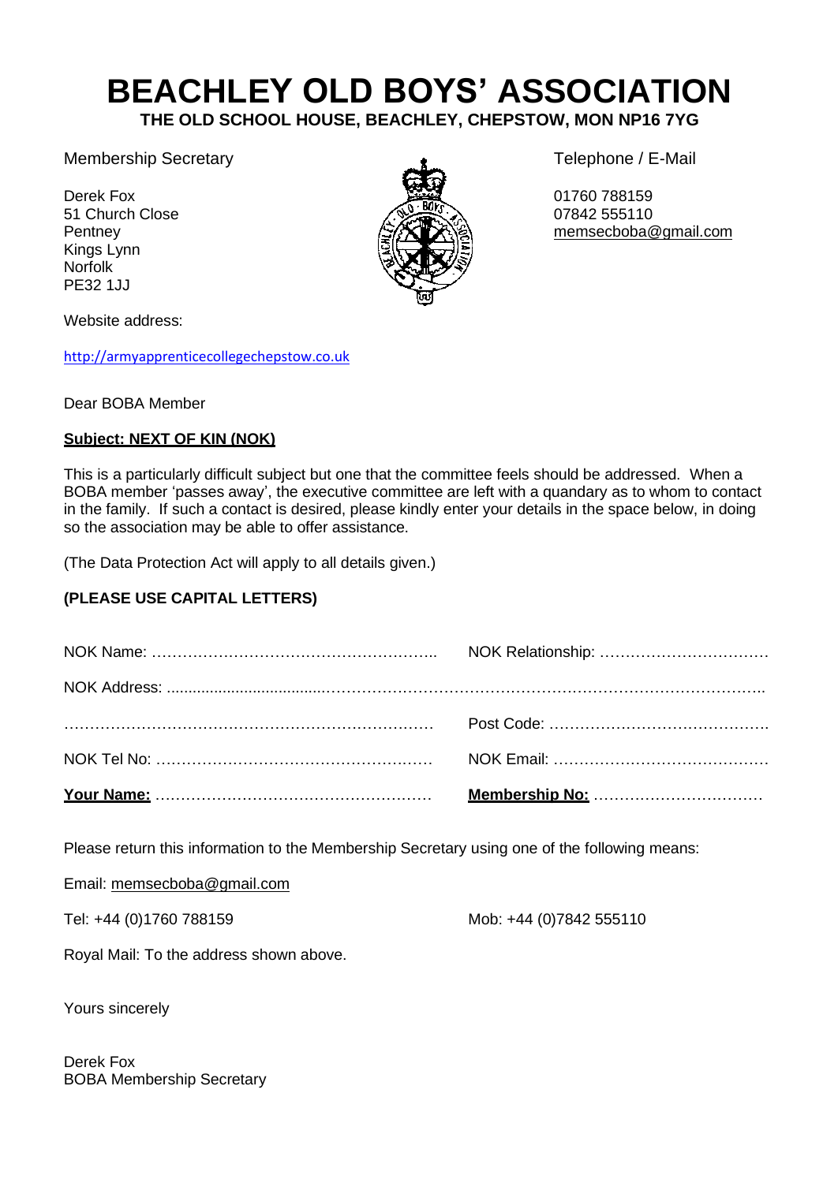# **BEACHLEY OLD BOYS' ASSOCIATION**

**THE OLD SCHOOL HOUSE, BEACHLEY, CHEPSTOW, MON NP16 7YG**

Membership Secretary **Telephone / E-Mail** 

51 Church Close Kings Lynn Norfolk PE32 1JJ



Pentney **EXXIEXE** [memsecboba@gmail.com](mailto:memsecboba@gmail.com)

Website address:

[http://armyapprenticecollegechepstow.co.uk](http://armyapprenticecollegechepstow.co.uk/temp/)

Dear BOBA Member

## **Subject: NEXT OF KIN (NOK)**

This is a particularly difficult subject but one that the committee feels should be addressed. When a BOBA member 'passes away', the executive committee are left with a quandary as to whom to contact in the family. If such a contact is desired, please kindly enter your details in the space below, in doing so the association may be able to offer assistance.

(The Data Protection Act will apply to all details given.)

# **(PLEASE USE CAPITAL LETTERS)**

Please return this information to the Membership Secretary using one of the following means:

Email: [memsecboba@gmail.com](mailto:memsecboba@gmail.com)

Tel: +44 (0)1760 788159 Mob: +44 (0)7842 555110

Royal Mail: To the address shown above.

Yours sincerely

Derek Fox BOBA Membership Secretary